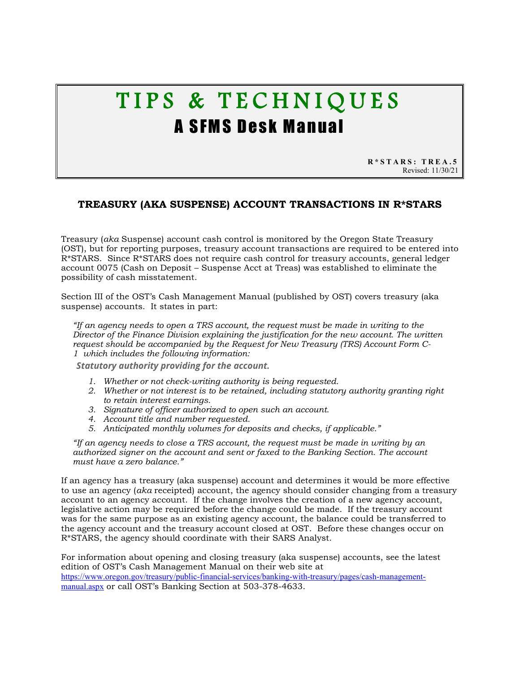# TIPS & TECHNIQUES A SFMS Desk Manual

**R\*STARS: TREA.5** Revised: 11/30/21

# **TREASURY (AKA SUSPENSE) ACCOUNT TRANSACTIONS IN R\*STARS**

Treasury (*aka* Suspense) account cash control is monitored by the Oregon State Treasury (OST), but for reporting purposes, treasury account transactions are required to be entered into R\*STARS. Since R\*STARS does not require cash control for treasury accounts, general ledger account 0075 (Cash on Deposit – Suspense Acct at Treas) was established to eliminate the possibility of cash misstatement.

Section III of the OST's Cash Management Manual (published by OST) covers treasury (aka suspense) accounts. It states in part:

*"If an agency needs to open a [TRS account,](http://www.oregon.gov/treasury/Divisions/Finance/StateAgencies/Pages/Cash-Management-Manual.aspx#TRS) the request must be made in writing to the Director of the Finance Division explaining the justification for the new account. The written request should be accompanied by the Request for New Treasury (TRS) Account [Form C-](http://www.oregon.gov/treasury/Divisions/Finance/Documents/Banking%20Forms/C-1%20Request%20For%20New%20TRS%20Account.pdf)[1](http://www.oregon.gov/treasury/Divisions/Finance/Documents/Banking%20Forms/C-1%20Request%20For%20New%20TRS%20Account.pdf) which includes the following information:*

*Statutory authority providing for the account.* 

- *1. Whether or not check-writing authority is being requested.*
- *2. Whether or not interest is to be retained, including statutory authority granting right to retain interest earnings.*
- *3. Signature of officer authorized to open such an account.*
- *4. Account title and number requested.*
- *5. Anticipated monthly volumes for deposits and checks, if applicable."*

*"If an agency needs to close a TRS account, the request must be made in writing by an [authorized signer](http://www.oregon.gov/treasury/Divisions/Finance/StateAgencies/Pages/Cash-Management-Manual.aspx#authsigner) on the account and sent or faxed to the Banking Section. The account must have a zero balance."*

If an agency has a treasury (aka suspense) account and determines it would be more effective to use an agency (*aka* receipted) account, the agency should consider changing from a treasury account to an agency account. If the change involves the creation of a new agency account, legislative action may be required before the change could be made. If the treasury account was for the same purpose as an existing agency account, the balance could be transferred to the agency account and the treasury account closed at OST. Before these changes occur on R\*STARS, the agency should coordinate with their SARS Analyst.

For information about opening and closing treasury (aka suspense) accounts, see the latest edition of OST's Cash Management Manual on their web site at [https://www.oregon.gov/treasury/public-financial-services/banking-with-treasury/pages/cash-management](https://www.oregon.gov/treasury/public-financial-services/banking-with-treasury/pages/cash-management-manual.aspx)[manual.aspx](https://www.oregon.gov/treasury/public-financial-services/banking-with-treasury/pages/cash-management-manual.aspx) or call OST's Banking Section at 503-378-4633.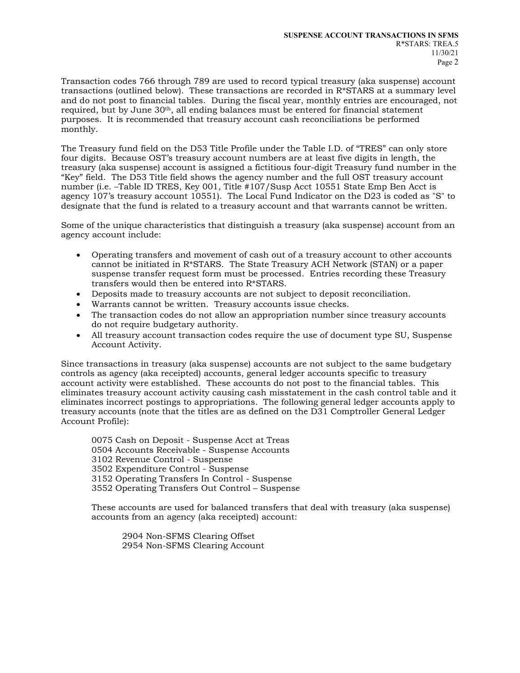Transaction codes 766 through 789 are used to record typical treasury (aka suspense) account transactions (outlined below). These transactions are recorded in  $R*STARS$  at a summary level and do not post to financial tables. During the fiscal year, monthly entries are encouraged, not required, but by June 30th, all ending balances must be entered for financial statement purposes. It is recommended that treasury account cash reconciliations be performed monthly.

The Treasury fund field on the D53 Title Profile under the Table I.D. of "TRES" can only store four digits. Because OST's treasury account numbers are at least five digits in length, the treasury (aka suspense) account is assigned a fictitious four-digit Treasury fund number in the "Key" field. The D53 Title field shows the agency number and the full OST treasury account number (i.e. –Table ID TRES, Key 001, Title #107/Susp Acct 10551 State Emp Ben Acct is agency 107's treasury account 10551). The Local Fund Indicator on the D23 is coded as "S" to designate that the fund is related to a treasury account and that warrants cannot be written.

Some of the unique characteristics that distinguish a treasury (aka suspense) account from an agency account include:

- Operating transfers and movement of cash out of a treasury account to other accounts cannot be initiated in R\*STARS. The State Treasury ACH Network (STAN) or a paper suspense transfer request form must be processed. Entries recording these Treasury transfers would then be entered into R\*STARS.
- Deposits made to treasury accounts are not subject to deposit reconciliation.
- Warrants cannot be written. Treasury accounts issue checks.
- The transaction codes do not allow an appropriation number since treasury accounts do not require budgetary authority.
- All treasury account transaction codes require the use of document type SU, Suspense Account Activity.

Since transactions in treasury (aka suspense) accounts are not subject to the same budgetary controls as agency (aka receipted) accounts, general ledger accounts specific to treasury account activity were established. These accounts do not post to the financial tables. This eliminates treasury account activity causing cash misstatement in the cash control table and it eliminates incorrect postings to appropriations. The following general ledger accounts apply to treasury accounts (note that the titles are as defined on the D31 Comptroller General Ledger Account Profile):

0075 Cash on Deposit - Suspense Acct at Treas 0504 Accounts Receivable - Suspense Accounts 3102 Revenue Control - Suspense 3502 Expenditure Control - Suspense 3152 Operating Transfers In Control - Suspense 3552 Operating Transfers Out Control – Suspense

These accounts are used for balanced transfers that deal with treasury (aka suspense) accounts from an agency (aka receipted) account:

2904 Non-SFMS Clearing Offset 2954 Non-SFMS Clearing Account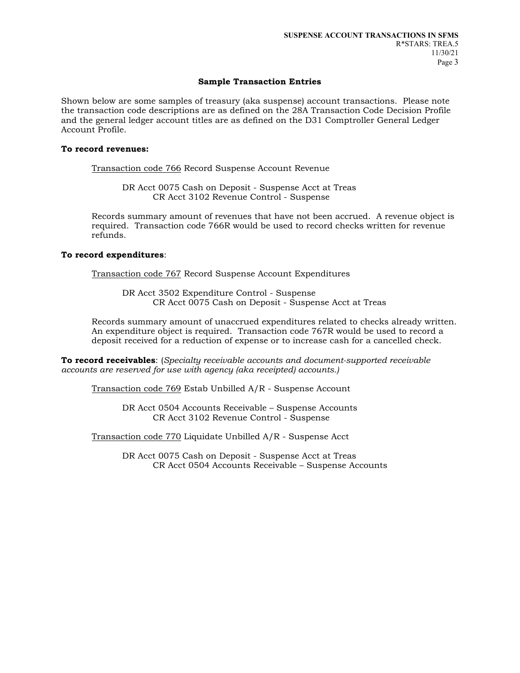## **Sample Transaction Entries**

Shown below are some samples of treasury (aka suspense) account transactions. Please note the transaction code descriptions are as defined on the 28A Transaction Code Decision Profile and the general ledger account titles are as defined on the D31 Comptroller General Ledger Account Profile.

## **To record revenues:**

Transaction code 766 Record Suspense Account Revenue

DR Acct 0075 Cash on Deposit - Suspense Acct at Treas CR Acct 3102 Revenue Control - Suspense

Records summary amount of revenues that have not been accrued. A revenue object is required. Transaction code 766R would be used to record checks written for revenue refunds.

#### **To record expenditures**:

Transaction code 767 Record Suspense Account Expenditures

DR Acct 3502 Expenditure Control - Suspense CR Acct 0075 Cash on Deposit - Suspense Acct at Treas

Records summary amount of unaccrued expenditures related to checks already written. An expenditure object is required. Transaction code 767R would be used to record a deposit received for a reduction of expense or to increase cash for a cancelled check.

**To record receivables**: (*Specialty receivable accounts and document-supported receivable accounts are reserved for use with agency (aka receipted) accounts.)*

Transaction code 769 Estab Unbilled A/R - Suspense Account

DR Acct 0504 Accounts Receivable – Suspense Accounts CR Acct 3102 Revenue Control - Suspense

Transaction code 770 Liquidate Unbilled A/R - Suspense Acct

DR Acct 0075 Cash on Deposit - Suspense Acct at Treas CR Acct 0504 Accounts Receivable – Suspense Accounts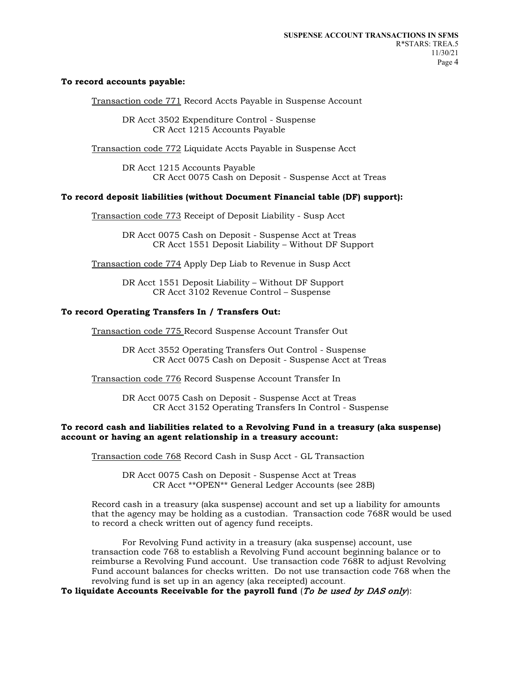#### **To record accounts payable:**

Transaction code 771 Record Accts Payable in Suspense Account

DR Acct 3502 Expenditure Control - Suspense CR Acct 1215 Accounts Payable

Transaction code 772 Liquidate Accts Payable in Suspense Acct

DR Acct 1215 Accounts Payable CR Acct 0075 Cash on Deposit - Suspense Acct at Treas

#### **To record deposit liabilities (without Document Financial table (DF) support):**

Transaction code 773 Receipt of Deposit Liability - Susp Acct

DR Acct 0075 Cash on Deposit - Suspense Acct at Treas CR Acct 1551 Deposit Liability – Without DF Support

Transaction code 774 Apply Dep Liab to Revenue in Susp Acct

DR Acct 1551 Deposit Liability – Without DF Support CR Acct 3102 Revenue Control – Suspense

#### **To record Operating Transfers In / Transfers Out:**

Transaction code 775 Record Suspense Account Transfer Out

DR Acct 3552 Operating Transfers Out Control - Suspense CR Acct 0075 Cash on Deposit - Suspense Acct at Treas

Transaction code 776 Record Suspense Account Transfer In

DR Acct 0075 Cash on Deposit - Suspense Acct at Treas CR Acct 3152 Operating Transfers In Control - Suspense

#### **To record cash and liabilities related to a Revolving Fund in a treasury (aka suspense) account or having an agent relationship in a treasury account:**

Transaction code 768 Record Cash in Susp Acct - GL Transaction

DR Acct 0075 Cash on Deposit - Suspense Acct at Treas CR Acct \*\*OPEN\*\* General Ledger Accounts (see 28B)

Record cash in a treasury (aka suspense) account and set up a liability for amounts that the agency may be holding as a custodian. Transaction code 768R would be used to record a check written out of agency fund receipts.

For Revolving Fund activity in a treasury (aka suspense) account, use transaction code 768 to establish a Revolving Fund account beginning balance or to reimburse a Revolving Fund account. Use transaction code 768R to adjust Revolving Fund account balances for checks written. Do not use transaction code 768 when the revolving fund is set up in an agency (aka receipted) account.

## **To liquidate Accounts Receivable for the payroll fund** (To be used by DAS only):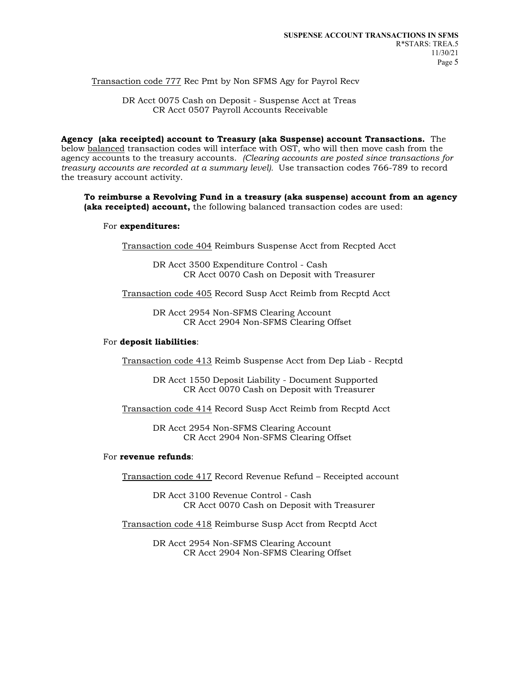Transaction code 777 Rec Pmt by Non SFMS Agy for Payrol Recv

DR Acct 0075 Cash on Deposit - Suspense Acct at Treas CR Acct 0507 Payroll Accounts Receivable

**Agency (aka receipted) account to Treasury (aka Suspense) account Transactions.** The below balanced transaction codes will interface with OST, who will then move cash from the agency accounts to the treasury accounts. *(Clearing accounts are posted since transactions for treasury accounts are recorded at a summary level).* Use transaction codes 766-789 to record the treasury account activity.

**To reimburse a Revolving Fund in a treasury (aka suspense) account from an agency (aka receipted) account,** the following balanced transaction codes are used:

#### For **expenditures:**

Transaction code 404 Reimburs Suspense Acct from Recpted Acct

DR Acct 3500 Expenditure Control - Cash CR Acct 0070 Cash on Deposit with Treasurer

Transaction code 405 Record Susp Acct Reimb from Recptd Acct

DR Acct 2954 Non-SFMS Clearing Account CR Acct 2904 Non-SFMS Clearing Offset

#### For **deposit liabilities**:

Transaction code 413 Reimb Suspense Acct from Dep Liab - Recptd

DR Acct 1550 Deposit Liability - Document Supported CR Acct 0070 Cash on Deposit with Treasurer

Transaction code 414 Record Susp Acct Reimb from Recptd Acct

DR Acct 2954 Non-SFMS Clearing Account CR Acct 2904 Non-SFMS Clearing Offset

#### For **revenue refunds**:

Transaction code 417 Record Revenue Refund – Receipted account

DR Acct 3100 Revenue Control - Cash CR Acct 0070 Cash on Deposit with Treasurer

Transaction code 418 Reimburse Susp Acct from Recptd Acct

DR Acct 2954 Non-SFMS Clearing Account CR Acct 2904 Non-SFMS Clearing Offset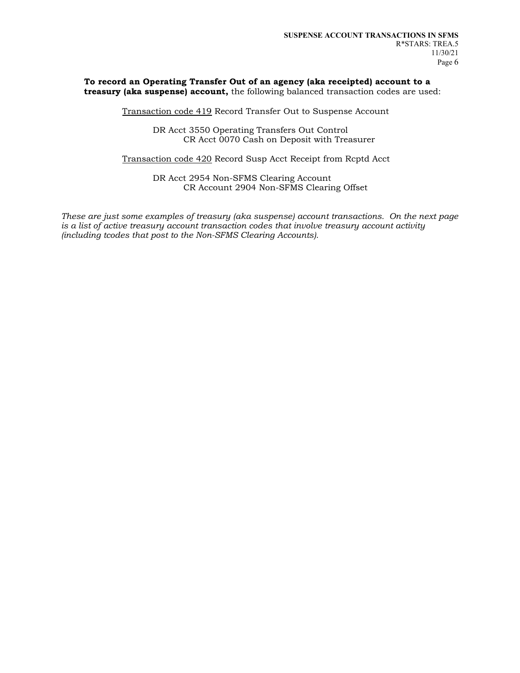#### **To record an Operating Transfer Out of an agency (aka receipted) account to a treasury (aka suspense) account,** the following balanced transaction codes are used:

Transaction code 419 Record Transfer Out to Suspense Account

DR Acct 3550 Operating Transfers Out Control CR Acct 0070 Cash on Deposit with Treasurer

Transaction code 420 Record Susp Acct Receipt from Rcptd Acct

DR Acct 2954 Non-SFMS Clearing Account CR Account 2904 Non-SFMS Clearing Offset

*These are just some examples of treasury (aka suspense) account transactions. On the next page is a list of active treasury account transaction codes that involve treasury account activity (including tcodes that post to the Non-SFMS Clearing Accounts).*